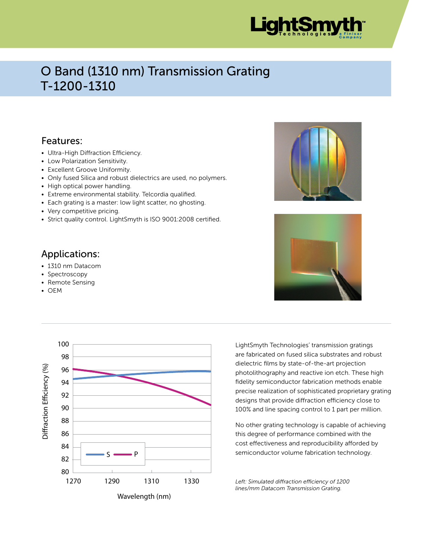

## O Band (1310 nm) Transmission Grating T-1200-1310

### Features:

- Ultra-High Diffraction Efficiency.
- Low Polarization Sensitivity.
- Excellent Groove Uniformity.
- Only fused Silica and robust dielectrics are used, no polymers.
- High optical power handling.
- Extreme environmental stability. Telcordia qualified.
- Each grating is a master: low light scatter, no ghosting.
- Very competitive pricing.
- Strict quality control. LightSmyth is ISO 9001:2008 certified.

### Applications:

- 1310 nm Datacom
- Spectroscopy
- Remote Sensing
- OEM







LightSmyth Technologies' transmission gratings are fabricated on fused silica substrates and robust dielectric films by state-of-the-art projection photolithography and reactive ion etch. These high fidelity semiconductor fabrication methods enable precise realization of sophisticated proprietary grating designs that provide diffraction efficiency close to 100% and line spacing control to 1 part per million.

No other grating technology is capable of achieving this degree of performance combined with the cost effectiveness and reproducibility afforded by semiconductor volume fabrication technology.

*Left: Simulated diffraction efficiency of 1200 lines/mm Datacom Transmission Grating.*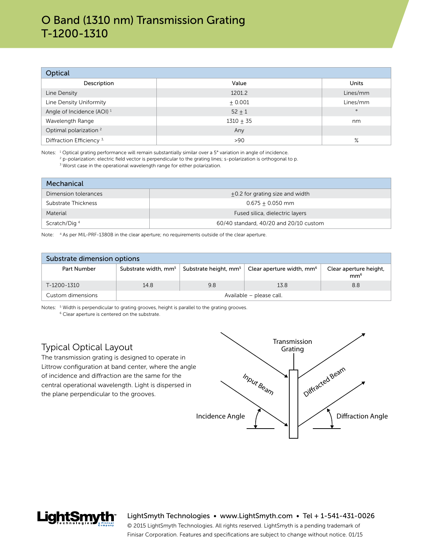### O Band (1310 nm) Transmission Grating T-1200-1310

| Optical                               |             |          |  |  |  |
|---------------------------------------|-------------|----------|--|--|--|
| Description                           | Value       | Units    |  |  |  |
| Line Density                          | 1201.2      | Lines/mm |  |  |  |
| Line Density Uniformity               | ± 0.001     | Lines/mm |  |  |  |
| Angle of Incidence (AOI) <sup>1</sup> | $52 + 1$    | $\circ$  |  |  |  |
| Wavelength Range                      | $1310 + 35$ | nm       |  |  |  |
| Optimal polarization <sup>2</sup>     | Any         |          |  |  |  |
| Diffraction Efficiency <sup>3</sup>   | >90         | $\%$     |  |  |  |

Notes: <sup>1</sup> Optical grating performance will remain substantially similar over a 5° variation in angle of incidence.

 $^2$  p-polarization: electric field vector is perpendicular to the grating lines; s-polarization is orthogonal to p.

<sup>3</sup> Worst case in the operational wavelength range for either polarization.

| Mechanical               |                                        |  |  |  |
|--------------------------|----------------------------------------|--|--|--|
| Dimension tolerances     | $+0.2$ for grating size and width      |  |  |  |
| Substrate Thickness      | $0.675 + 0.050$ mm                     |  |  |  |
| Material                 | Fused silica, dielectric layers        |  |  |  |
| Scratch/Dig <sup>4</sup> | 60/40 standard, 40/20 and 20/10 custom |  |  |  |

Note: 4 As per MIL-PRF-1380B in the clear aperture; no requirements outside of the clear aperture.

| Substrate dimension options |                                  |                                   |                                       |                                           |  |  |
|-----------------------------|----------------------------------|-----------------------------------|---------------------------------------|-------------------------------------------|--|--|
| Part Number                 | Substrate width, mm <sup>5</sup> | Substrate height, mm <sup>5</sup> | Clear aperture width, mm <sup>6</sup> | Clear aperture height,<br>mm <sup>6</sup> |  |  |
| T-1200-1310                 | 14.8                             | 9.8                               | 13.8                                  | 8.8                                       |  |  |
| Custom dimensions           | Available - please call.         |                                   |                                       |                                           |  |  |

Notes: <sup>5</sup> Width is perpendicular to grating grooves, height is parallel to the grating grooves. <sup>6</sup> Clear aperture is centered on the substrate.

#### Typical Optical Layout

The transmission grating is designed to operate in Littrow configuration at band center, where the angle of incidence and diffraction are the same for the central operational wavelength. Light is dispersed in the plane perpendicular to the grooves.



LightSmyth Technologies • www.LightSmyth.com • Tel + 1-541-431-0026

© 2015 LightSmyth Technologies. All rights reserved. LightSmyth is a pending trademark of Finisar Corporation. Features and specifications are subject to change without notice. 01/15